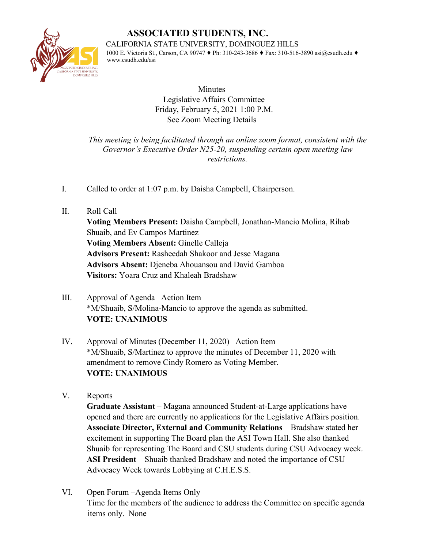

**ASSOCIATED STUDENTS, INC.** 

CALIFORNIA STATE UNIVERSITY, DOMINGUEZ HILLS

1000 E. Victoria St., Carson, CA 90747 ♦ Ph: 310-243-3686 ♦ Fax: 310-516-3890 asi@csudh.edu ♦ www.csudh.edu/asi

> **Minutes** Legislative Affairs Committee Friday, February 5, 2021 1:00 P.M. See Zoom Meeting Details

*This meeting is being facilitated through an online zoom format, consistent with the Governor's Executive Order N25-20, suspending certain open meeting law restrictions.* 

- I. Called to order at 1:07 p.m. by Daisha Campbell, Chairperson.
- II. Roll Call **Voting Members Present:** Daisha Campbell, Jonathan-Mancio Molina, Rihab Shuaib, and Ev Campos Martinez **Voting Members Absent:** Ginelle Calleja **Advisors Present:** Rasheedah Shakoor and Jesse Magana **Advisors Absent:** Djeneba Ahouansou and David Gamboa **Visitors:** Yoara Cruz and Khaleah Bradshaw
- III. Approval of Agenda –Action Item \*M/Shuaib, S/Molina-Mancio to approve the agenda as submitted. **VOTE: UNANIMOUS**
- IV. Approval of Minutes (December 11, 2020) –Action Item \*M/Shuaib, S/Martinez to approve the minutes of December 11, 2020 with amendment to remove Cindy Romero as Voting Member. **VOTE: UNANIMOUS**
- V. Reports

**Graduate Assistant** – Magana announced Student-at-Large applications have opened and there are currently no applications for the Legislative Affairs position. **Associate Director, External and Community Relations** – Bradshaw stated her excitement in supporting The Board plan the ASI Town Hall. She also thanked Shuaib for representing The Board and CSU students during CSU Advocacy week. **ASI President** – Shuaib thanked Bradshaw and noted the importance of CSU Advocacy Week towards Lobbying at C.H.E.S.S.

VI. Open Forum –Agenda Items Only Time for the members of the audience to address the Committee on specific agenda items only. None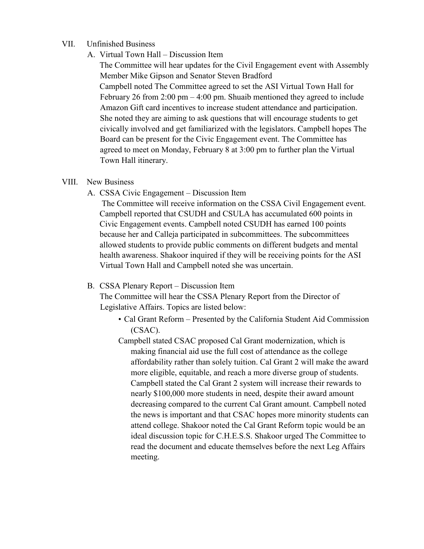## VII. Unfinished Business

A. Virtual Town Hall – Discussion Item

The Committee will hear updates for the Civil Engagement event with Assembly Member Mike Gipson and Senator Steven Bradford Campbell noted The Committee agreed to set the ASI Virtual Town Hall for February 26 from  $2:00 \text{ pm} - 4:00 \text{ pm}$ . Shuaib mentioned they agreed to include Amazon Gift card incentives to increase student attendance and participation. She noted they are aiming to ask questions that will encourage students to get civically involved and get familiarized with the legislators. Campbell hopes The Board can be present for the Civic Engagement event. The Committee has agreed to meet on Monday, February 8 at 3:00 pm to further plan the Virtual Town Hall itinerary.

## VIII. New Business

A. CSSA Civic Engagement – Discussion Item

The Committee will receive information on the CSSA Civil Engagement event. Campbell reported that CSUDH and CSULA has accumulated 600 points in Civic Engagement events. Campbell noted CSUDH has earned 100 points because her and Calleja participated in subcommittees. The subcommittees allowed students to provide public comments on different budgets and mental health awareness. Shakoor inquired if they will be receiving points for the ASI Virtual Town Hall and Campbell noted she was uncertain.

## B. CSSA Plenary Report – Discussion Item

The Committee will hear the CSSA Plenary Report from the Director of Legislative Affairs. Topics are listed below:

- Cal Grant Reform Presented by the California Student Aid Commission (CSAC).
- Campbell stated CSAC proposed Cal Grant modernization, which is making financial aid use the full cost of attendance as the college affordability rather than solely tuition. Cal Grant 2 will make the award more eligible, equitable, and reach a more diverse group of students. Campbell stated the Cal Grant 2 system will increase their rewards to nearly \$100,000 more students in need, despite their award amount decreasing compared to the current Cal Grant amount. Campbell noted the news is important and that CSAC hopes more minority students can attend college. Shakoor noted the Cal Grant Reform topic would be an ideal discussion topic for C.H.E.S.S. Shakoor urged The Committee to read the document and educate themselves before the next Leg Affairs meeting.